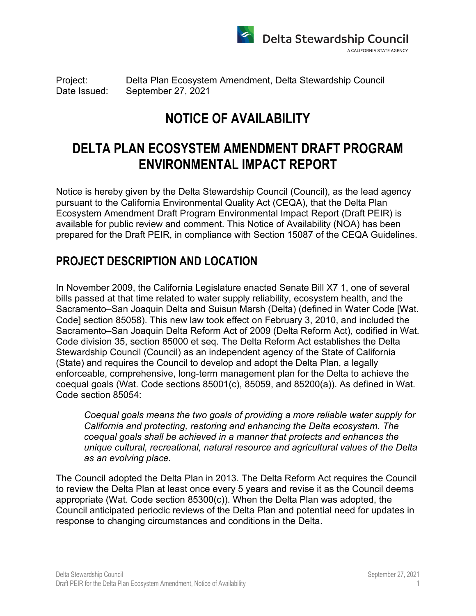

Project: Delta Plan Ecosystem Amendment, Delta Stewardship Council Date Issued: September 27, 2021

# **NOTICE OF AVAILABILITY**

# **DELTA PLAN ECOSYSTEM AMENDMENT DRAFT PROGRAM ENVIRONMENTAL IMPACT REPORT**

Notice is hereby given by the Delta Stewardship Council (Council), as the lead agency pursuant to the California Environmental Quality Act (CEQA), that the Delta Plan Ecosystem Amendment Draft Program Environmental Impact Report (Draft PEIR) is available for public review and comment. This Notice of Availability (NOA) has been prepared for the Draft PEIR, in compliance with Section 15087 of the CEQA Guidelines.

#### **PROJECT DESCRIPTION AND LOCATION**

In November 2009, the California Legislature enacted Senate Bill X7 1, one of several bills passed at that time related to water supply reliability, ecosystem health, and the Sacramento–San Joaquin Delta and Suisun Marsh (Delta) (defined in Water Code [Wat. Code] section 85058). This new law took effect on February 3, 2010, and included the Sacramento–San Joaquin Delta Reform Act of 2009 (Delta Reform Act), codified in Wat. Code division 35, section 85000 et seq. The Delta Reform Act establishes the Delta Stewardship Council (Council) as an independent agency of the State of California (State) and requires the Council to develop and adopt the Delta Plan, a legally enforceable, comprehensive, long-term management plan for the Delta to achieve the coequal goals (Wat. Code sections 85001(c), 85059, and 85200(a)). As defined in Wat. Code section 85054:

*Coequal goals means the two goals of providing a more reliable water supply for California and protecting, restoring and enhancing the Delta ecosystem. The coequal goals shall be achieved in a manner that protects and enhances the unique cultural, recreational, natural resource and agricultural values of the Delta as an evolving place.*

The Council adopted the Delta Plan in 2013. The Delta Reform Act requires the Council to review the Delta Plan at least once every 5 years and revise it as the Council deems appropriate (Wat. Code section 85300(c)). When the Delta Plan was adopted, the Council anticipated periodic reviews of the Delta Plan and potential need for updates in response to changing circumstances and conditions in the Delta.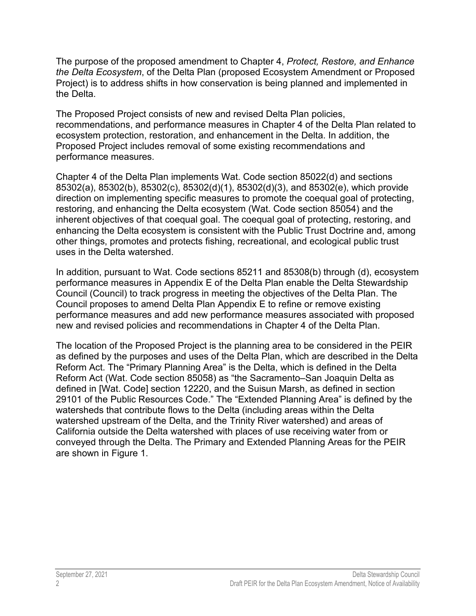The purpose of the proposed amendment to Chapter 4, *Protect, Restore, and Enhance the Delta Ecosystem*, of the Delta Plan (proposed Ecosystem Amendment or Proposed Project) is to address shifts in how conservation is being planned and implemented in the Delta.

The Proposed Project consists of new and revised Delta Plan policies, recommendations, and performance measures in Chapter 4 of the Delta Plan related to ecosystem protection, restoration, and enhancement in the Delta. In addition, the Proposed Project includes removal of some existing recommendations and performance measures.

Chapter 4 of the Delta Plan implements Wat. Code section 85022(d) and sections 85302(a), 85302(b), 85302(c), 85302(d)(1), 85302(d)(3), and 85302(e), which provide direction on implementing specific measures to promote the coequal goal of protecting, restoring, and enhancing the Delta ecosystem (Wat. Code section 85054) and the inherent objectives of that coequal goal. The coequal goal of protecting, restoring, and enhancing the Delta ecosystem is consistent with the Public Trust Doctrine and, among other things, promotes and protects fishing, recreational, and ecological public trust uses in the Delta watershed.

In addition, pursuant to Wat. Code sections 85211 and 85308(b) through (d), ecosystem performance measures in Appendix E of the Delta Plan enable the Delta Stewardship Council (Council) to track progress in meeting the objectives of the Delta Plan. The Council proposes to amend Delta Plan Appendix E to refine or remove existing performance measures and add new performance measures associated with proposed new and revised policies and recommendations in Chapter 4 of the Delta Plan.

The location of the Proposed Project is the planning area to be considered in the PEIR as defined by the purposes and uses of the Delta Plan, which are described in the Delta Reform Act. The "Primary Planning Area" is the Delta, which is defined in the Delta Reform Act (Wat. Code section 85058) as "the Sacramento–San Joaquin Delta as defined in [Wat. Code] section 12220, and the Suisun Marsh, as defined in section 29101 of the Public Resources Code." The "Extended Planning Area" is defined by the watersheds that contribute flows to the Delta (including areas within the Delta watershed upstream of the Delta, and the Trinity River watershed) and areas of California outside the Delta watershed with places of use receiving water from or conveyed through the Delta. The Primary and Extended Planning Areas for the PEIR are shown in Figure 1.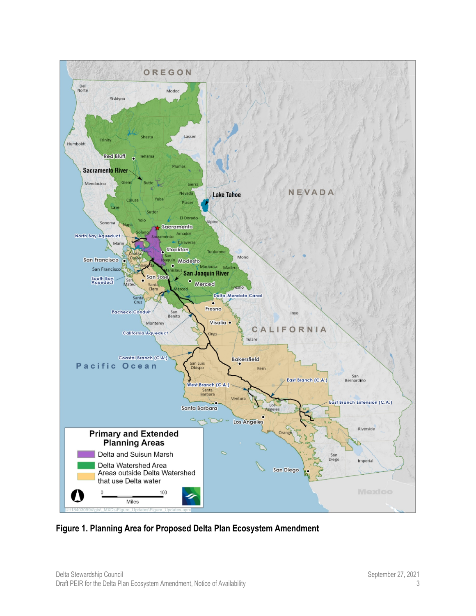

**Figure 1. Planning Area for Proposed Delta Plan Ecosystem Amendment**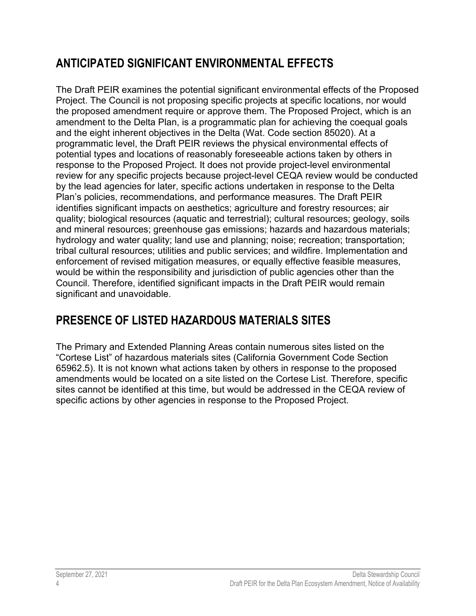## **ANTICIPATED SIGNIFICANT ENVIRONMENTAL EFFECTS**

The Draft PEIR examines the potential significant environmental effects of the Proposed Project. The Council is not proposing specific projects at specific locations, nor would the proposed amendment require or approve them. The Proposed Project, which is an amendment to the Delta Plan, is a programmatic plan for achieving the coequal goals and the eight inherent objectives in the Delta (Wat. Code section 85020). At a programmatic level, the Draft PEIR reviews the physical environmental effects of potential types and locations of reasonably foreseeable actions taken by others in response to the Proposed Project. It does not provide project-level environmental review for any specific projects because project-level CEQA review would be conducted by the lead agencies for later, specific actions undertaken in response to the Delta Plan's policies, recommendations, and performance measures. The Draft PEIR identifies significant impacts on aesthetics; agriculture and forestry resources; air quality; biological resources (aquatic and terrestrial); cultural resources; geology, soils and mineral resources; greenhouse gas emissions; hazards and hazardous materials; hydrology and water quality; land use and planning; noise; recreation; transportation; tribal cultural resources; utilities and public services; and wildfire. Implementation and enforcement of revised mitigation measures, or equally effective feasible measures, would be within the responsibility and jurisdiction of public agencies other than the Council. Therefore, identified significant impacts in the Draft PEIR would remain significant and unavoidable.

# **PRESENCE OF LISTED HAZARDOUS MATERIALS SITES**

The Primary and Extended Planning Areas contain numerous sites listed on the "Cortese List" of hazardous materials sites (California Government Code Section 65962.5). It is not known what actions taken by others in response to the proposed amendments would be located on a site listed on the Cortese List. Therefore, specific sites cannot be identified at this time, but would be addressed in the CEQA review of specific actions by other agencies in response to the Proposed Project.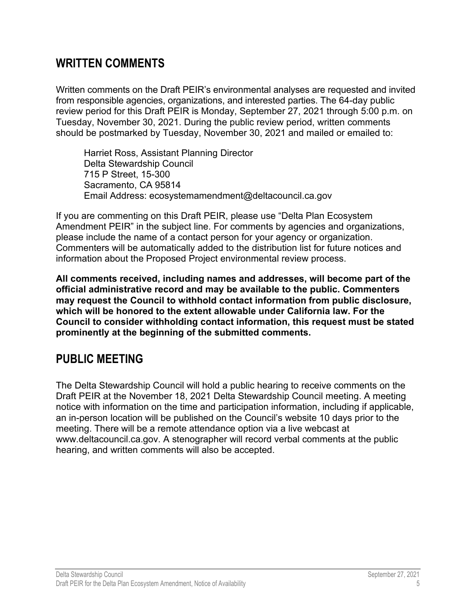#### **WRITTEN COMMENTS**

Written comments on the Draft PEIR's environmental analyses are requested and invited from responsible agencies, organizations, and interested parties. The 64-day public review period for this Draft PEIR is Monday, September 27, 2021 through 5:00 p.m. on Tuesday, November 30, 2021. During the public review period, written comments should be postmarked by Tuesday, November 30, 2021 and mailed or emailed to:

Harriet Ross, Assistant Planning Director Delta Stewardship Council 715 P Street, 15-300 Sacramento, CA 95814 Email Address: [ecosystemamendment@deltacouncil.ca.gov](mailto:ecosystemamendment@deltacouncil.ca.gov)

If you are commenting on this Draft PEIR, please use "Delta Plan Ecosystem Amendment PEIR" in the subject line. For comments by agencies and organizations, please include the name of a contact person for your agency or organization. Commenters will be automatically added to the distribution list for future notices and information about the Proposed Project environmental review process.

**All comments received, including names and addresses, will become part of the official administrative record and may be available to the public. Commenters may request the Council to withhold contact information from public disclosure, which will be honored to the extent allowable under California law. For the Council to consider withholding contact information, this request must be stated prominently at the beginning of the submitted comments.** 

### **PUBLIC MEETING**

The Delta Stewardship Council will hold a public hearing to receive comments on the Draft PEIR at the November 18, 2021 Delta Stewardship Council meeting. A meeting notice with information on the time and participation information, including if applicable, an in-person location will be published on the Council's website 10 days prior to the meeting. There will be a remote attendance option via a live webcast at [www.deltacouncil.ca.gov.](http://www.deltacouncil.ca.gov/) A stenographer will record verbal comments at the public hearing, and written comments will also be accepted.